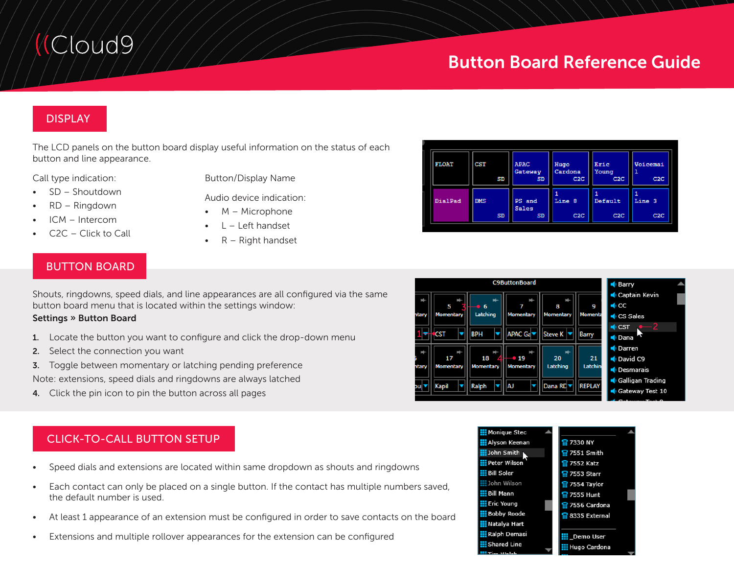# (Cloud9)

# Button Board Reference Guide

# DISPLAY

The LCD panels on the button board display useful information on the status of each button and line appearance.

Call type indication:

- SD Shoutdown
- RD Ringdown
- ICM Intercom
- C2C Click to Call

Button/Display Name

- Audio device indication:
- M Microphone
- $L -$  Left handset
- $R$  Right handset

| <b>FLOAT</b> | <b>CST</b><br>SD        | <b>APAC</b><br>Gateway<br><b>SD</b> | Hugo<br>Cardona<br>C2C | Eric<br>Young<br>C2C | <b>Voicemai</b><br>C2C |
|--------------|-------------------------|-------------------------------------|------------------------|----------------------|------------------------|
| DialPad      | <b>DMS</b><br><b>SD</b> | PS and<br><b>Sales</b><br><b>SD</b> | Line 8<br>C2C          | Default<br>C2C       | Line 3<br>C2C          |
|              |                         |                                     |                        |                      |                        |

# BUTTON BOARD

Shouts, ringdowns, speed dials, and line appearances are all configured via the same button board menu that is located within the settings window:

#### Settings » Button Board

- 1. Locate the button you want to configure and click the drop-down menu
- 2. Select the connection you want
- **3.** Toggle between momentary or latching pending preference

Note: extensions, speed dials and ringdowns are always latched

4. Click the pin icon to pin the button across all pages

# CLICK-TO-CALL BUTTON SETUP

- Speed dials and extensions are located within same dropdown as shouts and ringdowns
- Each contact can only be placed on a single button. If the contact has multiple numbers saved, the default number is used.
- At least 1 appearance of an extension must be configured in order to save contacts on the board
- Extensions and multiple rollover appearances for the extension can be configured